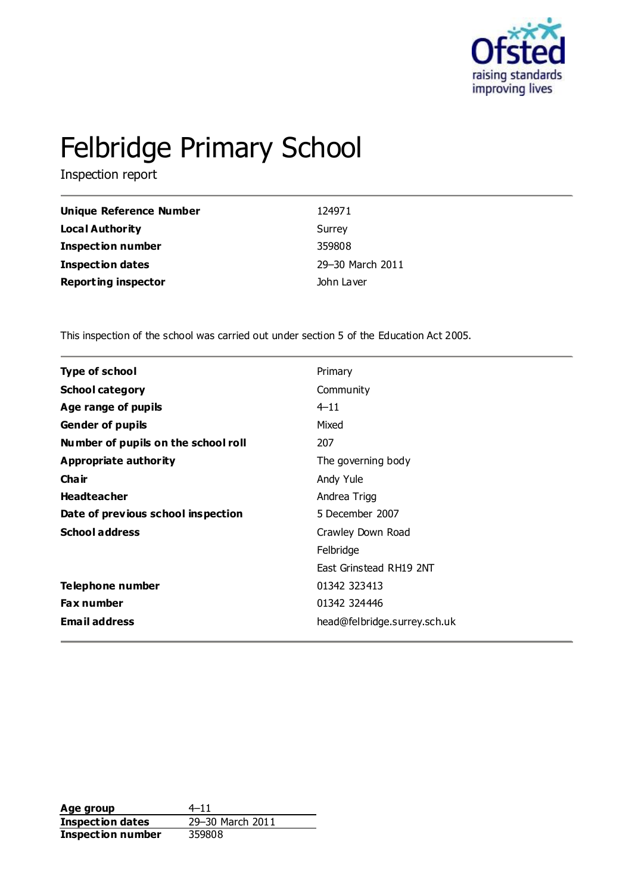

# Felbridge Primary School

Inspection report

| Unique Reference Number    | 124971           |
|----------------------------|------------------|
| <b>Local Authority</b>     | Surrey           |
| <b>Inspection number</b>   | 359808           |
| <b>Inspection dates</b>    | 29-30 March 2011 |
| <b>Reporting inspector</b> | John Laver       |

This inspection of the school was carried out under section 5 of the Education Act 2005.

| <b>Type of school</b>               | Primary                      |
|-------------------------------------|------------------------------|
| <b>School category</b>              | Community                    |
| Age range of pupils                 | $4 - 11$                     |
| <b>Gender of pupils</b>             | Mixed                        |
| Number of pupils on the school roll | 207                          |
| Appropriate authority               | The governing body           |
| Cha ir                              | Andy Yule                    |
| <b>Headteacher</b>                  | Andrea Trigg                 |
| Date of previous school inspection  | 5 December 2007              |
| <b>School address</b>               | Crawley Down Road            |
|                                     | Felbridge                    |
|                                     | East Grinstead RH19 2NT      |
| Telephone number                    | 01342 323413                 |
| <b>Fax number</b>                   | 01342 324446                 |
| <b>Email address</b>                | head@felbridge.surrey.sch.uk |
|                                     |                              |

**Age group** 4–11<br> **Inspection dates** 29–30 March 2011 **Inspection dates Inspection number** 359808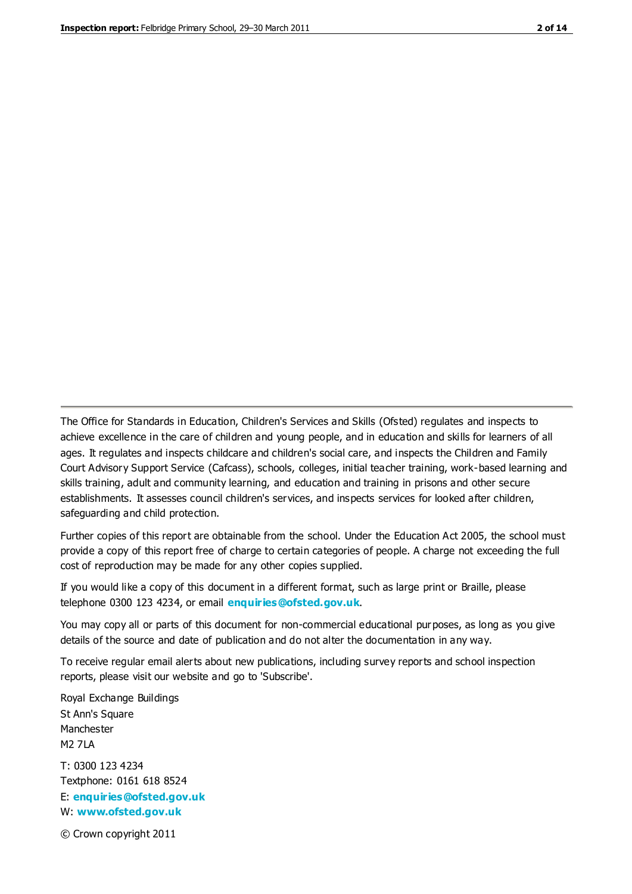The Office for Standards in Education, Children's Services and Skills (Ofsted) regulates and inspects to achieve excellence in the care of children and young people, and in education and skills for learners of all ages. It regulates and inspects childcare and children's social care, and inspects the Children and Family Court Advisory Support Service (Cafcass), schools, colleges, initial teacher training, work-based learning and skills training, adult and community learning, and education and training in prisons and other secure establishments. It assesses council children's services, and inspects services for looked after children, safeguarding and child protection.

Further copies of this report are obtainable from the school. Under the Education Act 2005, the school must provide a copy of this report free of charge to certain categories of people. A charge not exceeding the full cost of reproduction may be made for any other copies supplied.

If you would like a copy of this document in a different format, such as large print or Braille, please telephone 0300 123 4234, or email **[enquiries@ofsted.gov.uk](mailto:enquiries@ofsted.gov.uk)**.

You may copy all or parts of this document for non-commercial educational purposes, as long as you give details of the source and date of publication and do not alter the documentation in any way.

To receive regular email alerts about new publications, including survey reports and school inspection reports, please visit our website and go to 'Subscribe'.

Royal Exchange Buildings St Ann's Square Manchester M2 7LA T: 0300 123 4234 Textphone: 0161 618 8524 E: **[enquiries@ofsted.gov.uk](mailto:enquiries@ofsted.gov.uk)**

W: **[www.ofsted.gov.uk](http://www.ofsted.gov.uk/)**

© Crown copyright 2011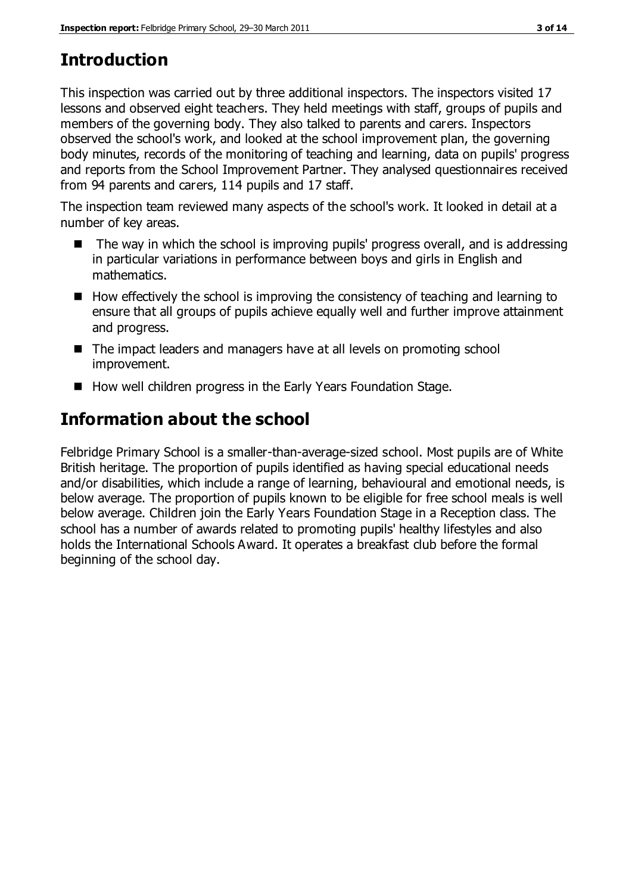# **Introduction**

This inspection was carried out by three additional inspectors. The inspectors visited 17 lessons and observed eight teachers. They held meetings with staff, groups of pupils and members of the governing body. They also talked to parents and carers. Inspectors observed the school's work, and looked at the school improvement plan, the governing body minutes, records of the monitoring of teaching and learning, data on pupils' progress and reports from the School Improvement Partner. They analysed questionnaires received from 94 parents and carers, 114 pupils and 17 staff.

The inspection team reviewed many aspects of the school's work. It looked in detail at a number of key areas.

- The way in which the school is improving pupils' progress overall, and is addressing in particular variations in performance between boys and girls in English and mathematics.
- $\blacksquare$  How effectively the school is improving the consistency of teaching and learning to ensure that all groups of pupils achieve equally well and further improve attainment and progress.
- The impact leaders and managers have at all levels on promoting school improvement.
- How well children progress in the Early Years Foundation Stage.

# **Information about the school**

Felbridge Primary School is a smaller-than-average-sized school. Most pupils are of White British heritage. The proportion of pupils identified as having special educational needs and/or disabilities, which include a range of learning, behavioural and emotional needs, is below average. The proportion of pupils known to be eligible for free school meals is well below average. Children join the Early Years Foundation Stage in a Reception class. The school has a number of awards related to promoting pupils' healthy lifestyles and also holds the International Schools Award. It operates a breakfast club before the formal beginning of the school day.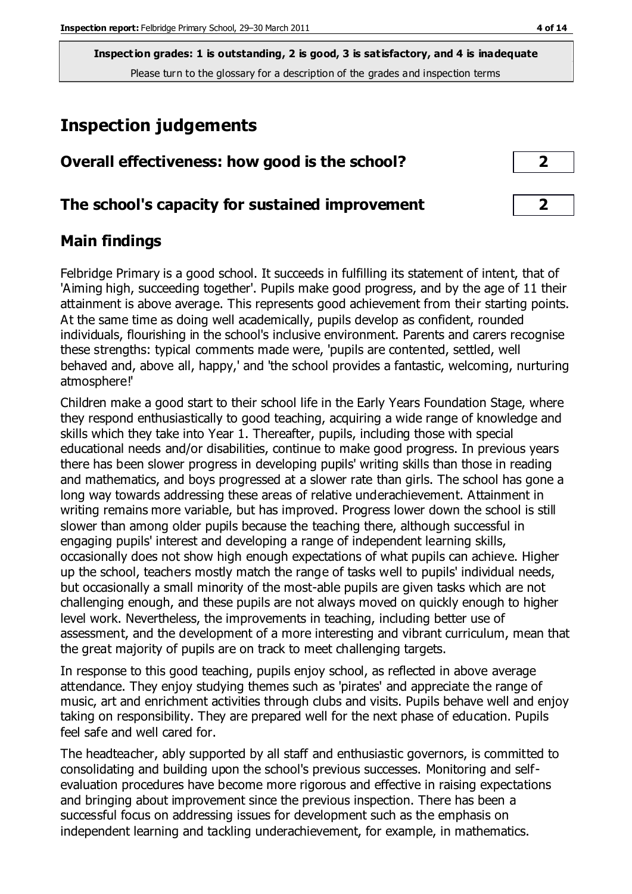# **Inspection judgements**

| Overall effectiveness: how good is the school?  |  |
|-------------------------------------------------|--|
| The school's capacity for sustained improvement |  |

# **Main findings**

Felbridge Primary is a good school. It succeeds in fulfilling its statement of intent, that of 'Aiming high, succeeding together'. Pupils make good progress, and by the age of 11 their attainment is above average. This represents good achievement from their starting points. At the same time as doing well academically, pupils develop as confident, rounded individuals, flourishing in the school's inclusive environment. Parents and carers recognise these strengths: typical comments made were, 'pupils are contented, settled, well behaved and, above all, happy,' and 'the school provides a fantastic, welcoming, nurturing atmosphere!'

Children make a good start to their school life in the Early Years Foundation Stage, where they respond enthusiastically to good teaching, acquiring a wide range of knowledge and skills which they take into Year 1. Thereafter, pupils, including those with special educational needs and/or disabilities, continue to make good progress. In previous years there has been slower progress in developing pupils' writing skills than those in reading and mathematics, and boys progressed at a slower rate than girls. The school has gone a long way towards addressing these areas of relative underachievement. Attainment in writing remains more variable, but has improved. Progress lower down the school is still slower than among older pupils because the teaching there, although successful in engaging pupils' interest and developing a range of independent learning skills, occasionally does not show high enough expectations of what pupils can achieve. Higher up the school, teachers mostly match the range of tasks well to pupils' individual needs, but occasionally a small minority of the most-able pupils are given tasks which are not challenging enough, and these pupils are not always moved on quickly enough to higher level work. Nevertheless, the improvements in teaching, including better use of assessment, and the development of a more interesting and vibrant curriculum, mean that the great majority of pupils are on track to meet challenging targets.

In response to this good teaching, pupils enjoy school, as reflected in above average attendance. They enjoy studying themes such as 'pirates' and appreciate the range of music, art and enrichment activities through clubs and visits. Pupils behave well and enjoy taking on responsibility. They are prepared well for the next phase of education. Pupils feel safe and well cared for.

The headteacher, ably supported by all staff and enthusiastic governors, is committed to consolidating and building upon the school's previous successes. Monitoring and selfevaluation procedures have become more rigorous and effective in raising expectations and bringing about improvement since the previous inspection. There has been a successful focus on addressing issues for development such as the emphasis on independent learning and tackling underachievement, for example, in mathematics.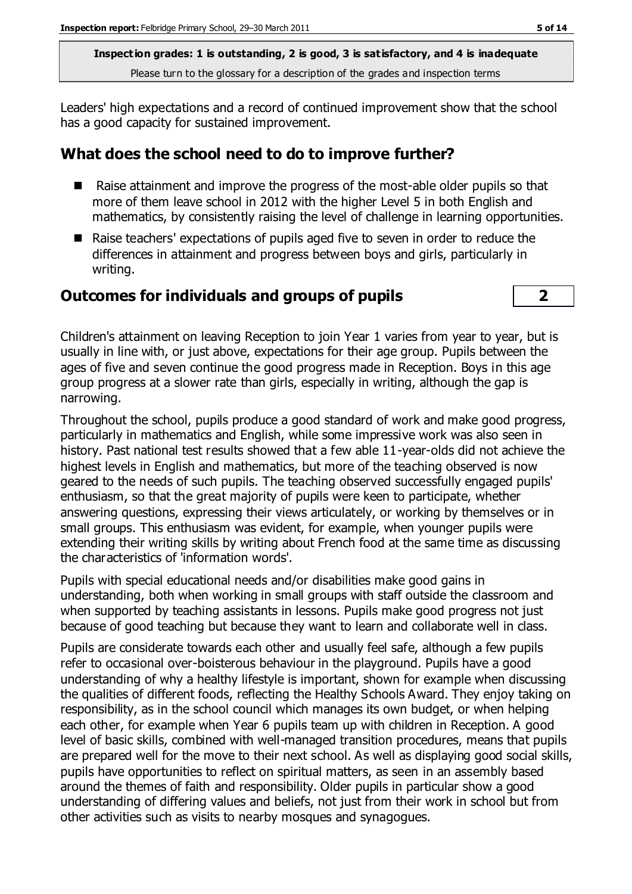Leaders' high expectations and a record of continued improvement show that the school has a good capacity for sustained improvement.

# **What does the school need to do to improve further?**

- Raise attainment and improve the progress of the most-able older pupils so that more of them leave school in 2012 with the higher Level 5 in both English and mathematics, by consistently raising the level of challenge in learning opportunities.
- Raise teachers' expectations of pupils aged five to seven in order to reduce the differences in attainment and progress between boys and girls, particularly in writing.

#### **Outcomes for individuals and groups of pupils 2**



Children's attainment on leaving Reception to join Year 1 varies from year to year, but is usually in line with, or just above, expectations for their age group. Pupils between the ages of five and seven continue the good progress made in Reception. Boys in this age group progress at a slower rate than girls, especially in writing, although the gap is narrowing.

Throughout the school, pupils produce a good standard of work and make good progress, particularly in mathematics and English, while some impressive work was also seen in history. Past national test results showed that a few able 11-year-olds did not achieve the highest levels in English and mathematics, but more of the teaching observed is now geared to the needs of such pupils. The teaching observed successfully engaged pupils' enthusiasm, so that the great majority of pupils were keen to participate, whether answering questions, expressing their views articulately, or working by themselves or in small groups. This enthusiasm was evident, for example, when younger pupils were extending their writing skills by writing about French food at the same time as discussing the characteristics of 'information words'.

Pupils with special educational needs and/or disabilities make good gains in understanding, both when working in small groups with staff outside the classroom and when supported by teaching assistants in lessons. Pupils make good progress not just because of good teaching but because they want to learn and collaborate well in class.

Pupils are considerate towards each other and usually feel safe, although a few pupils refer to occasional over-boisterous behaviour in the playground. Pupils have a good understanding of why a healthy lifestyle is important, shown for example when discussing the qualities of different foods, reflecting the Healthy Schools Award. They enjoy taking on responsibility, as in the school council which manages its own budget, or when helping each other, for example when Year 6 pupils team up with children in Reception. A good level of basic skills, combined with well-managed transition procedures, means that pupils are prepared well for the move to their next school. As well as displaying good social skills, pupils have opportunities to reflect on spiritual matters, as seen in an assembly based around the themes of faith and responsibility. Older pupils in particular show a good understanding of differing values and beliefs, not just from their work in school but from other activities such as visits to nearby mosques and synagogues.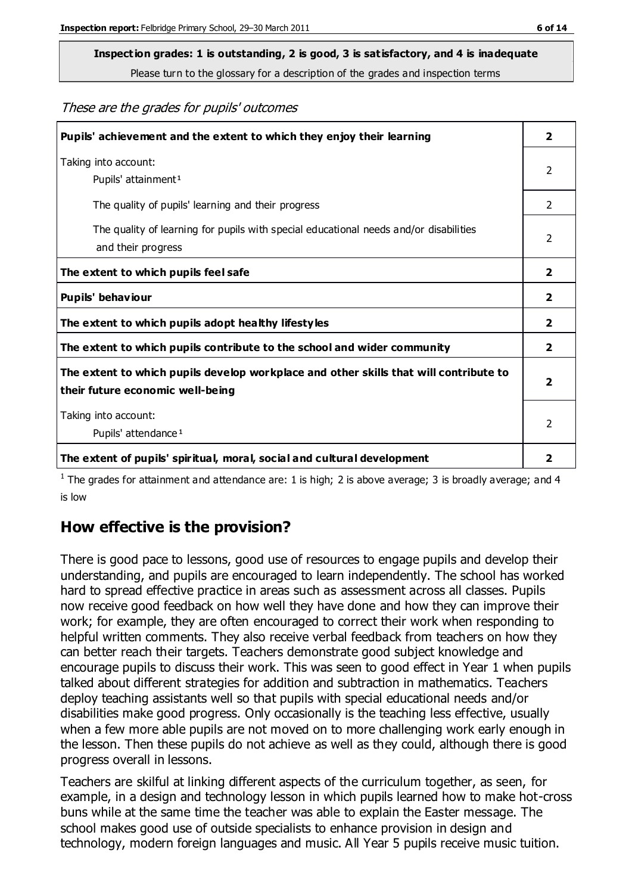# **Inspection grades: 1 is outstanding, 2 is good, 3 is satisfactory, and 4 is inadequate**

Please turn to the glossary for a description of the grades and inspection terms

These are the grades for pupils' outcomes

| Pupils' achievement and the extent to which they enjoy their learning                                                     |                         |
|---------------------------------------------------------------------------------------------------------------------------|-------------------------|
| Taking into account:<br>Pupils' attainment <sup>1</sup>                                                                   | 2                       |
| The quality of pupils' learning and their progress                                                                        | $\mathcal{P}$           |
| The quality of learning for pupils with special educational needs and/or disabilities<br>and their progress               | $\overline{2}$          |
| The extent to which pupils feel safe                                                                                      | $\overline{2}$          |
| Pupils' behaviour                                                                                                         | $\overline{2}$          |
| The extent to which pupils adopt healthy lifestyles                                                                       | 2                       |
| The extent to which pupils contribute to the school and wider community                                                   | $\mathbf{2}$            |
| The extent to which pupils develop workplace and other skills that will contribute to<br>their future economic well-being | $\overline{\mathbf{2}}$ |
| Taking into account:<br>Pupils' attendance <sup>1</sup>                                                                   | $\mathfrak{p}$          |
| The extent of pupils' spiritual, moral, social and cultural development                                                   | 2                       |

<sup>1</sup> The grades for attainment and attendance are: 1 is high; 2 is above average; 3 is broadly average; and 4 is low

# **How effective is the provision?**

There is good pace to lessons, good use of resources to engage pupils and develop their understanding, and pupils are encouraged to learn independently. The school has worked hard to spread effective practice in areas such as assessment across all classes. Pupils now receive good feedback on how well they have done and how they can improve their work; for example, they are often encouraged to correct their work when responding to helpful written comments. They also receive verbal feedback from teachers on how they can better reach their targets. Teachers demonstrate good subject knowledge and encourage pupils to discuss their work. This was seen to good effect in Year 1 when pupils talked about different strategies for addition and subtraction in mathematics. Teachers deploy teaching assistants well so that pupils with special educational needs and/or disabilities make good progress. Only occasionally is the teaching less effective, usually when a few more able pupils are not moved on to more challenging work early enough in the lesson. Then these pupils do not achieve as well as they could, although there is good progress overall in lessons.

Teachers are skilful at linking different aspects of the curriculum together, as seen, for example, in a design and technology lesson in which pupils learned how to make hot-cross buns while at the same time the teacher was able to explain the Easter message. The school makes good use of outside specialists to enhance provision in design and technology, modern foreign languages and music. All Year 5 pupils receive music tuition.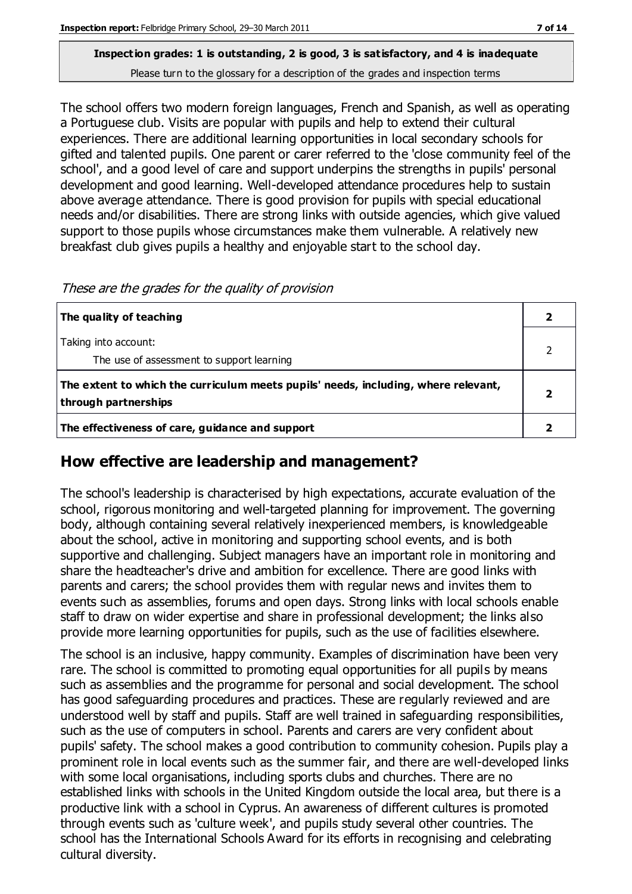The school offers two modern foreign languages, French and Spanish, as well as operating a Portuguese club. Visits are popular with pupils and help to extend their cultural experiences. There are additional learning opportunities in local secondary schools for gifted and talented pupils. One parent or carer referred to the 'close community feel of the school', and a good level of care and support underpins the strengths in pupils' personal development and good learning. Well-developed attendance procedures help to sustain above average attendance. There is good provision for pupils with special educational needs and/or disabilities. There are strong links with outside agencies, which give valued support to those pupils whose circumstances make them vulnerable. A relatively new breakfast club gives pupils a healthy and enjoyable start to the school day.

| The quality of teaching                                                                                    |  |
|------------------------------------------------------------------------------------------------------------|--|
| Taking into account:                                                                                       |  |
| The use of assessment to support learning                                                                  |  |
| The extent to which the curriculum meets pupils' needs, including, where relevant,<br>through partnerships |  |
| The effectiveness of care, guidance and support                                                            |  |

These are the grades for the quality of provision

# **How effective are leadership and management?**

The school's leadership is characterised by high expectations, accurate evaluation of the school, rigorous monitoring and well-targeted planning for improvement. The governing body, although containing several relatively inexperienced members, is knowledgeable about the school, active in monitoring and supporting school events, and is both supportive and challenging. Subject managers have an important role in monitoring and share the headteacher's drive and ambition for excellence. There are good links with parents and carers; the school provides them with regular news and invites them to events such as assemblies, forums and open days. Strong links with local schools enable staff to draw on wider expertise and share in professional development; the links also provide more learning opportunities for pupils, such as the use of facilities elsewhere.

The school is an inclusive, happy community. Examples of discrimination have been very rare. The school is committed to promoting equal opportunities for all pupils by means such as assemblies and the programme for personal and social development. The school has good safeguarding procedures and practices. These are regularly reviewed and are understood well by staff and pupils. Staff are well trained in safeguarding responsibilities, such as the use of computers in school. Parents and carers are very confident about pupils' safety. The school makes a good contribution to community cohesion. Pupils play a prominent role in local events such as the summer fair, and there are well-developed links with some local organisations, including sports clubs and churches. There are no established links with schools in the United Kingdom outside the local area, but there is a productive link with a school in Cyprus. An awareness of different cultures is promoted through events such as 'culture week', and pupils study several other countries. The school has the International Schools Award for its efforts in recognising and celebrating cultural diversity.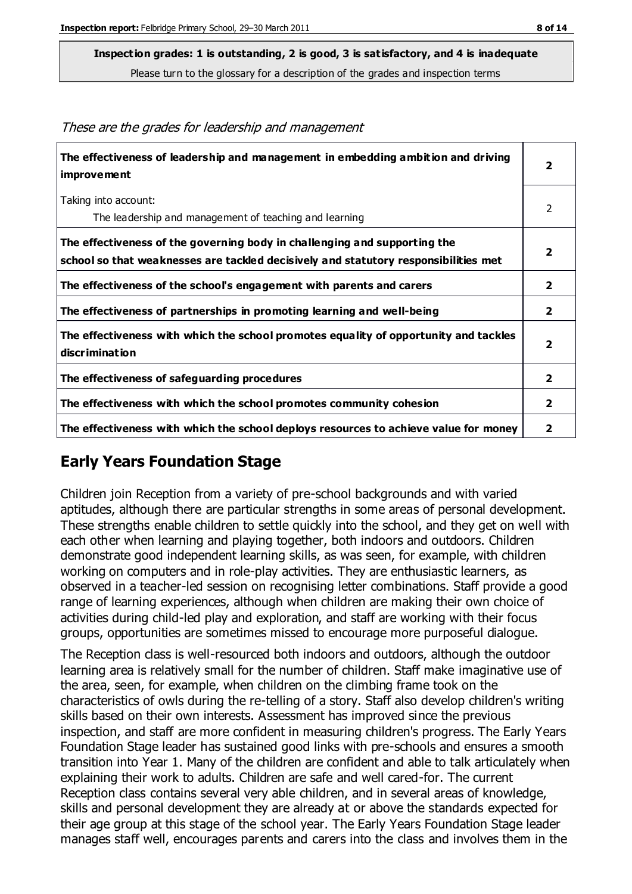**Inspection grades: 1 is outstanding, 2 is good, 3 is satisfactory, and 4 is inadequate**

Please turn to the glossary for a description of the grades and inspection terms

| The effectiveness of leadership and management in embedding ambition and driving<br>improvement                                                                  | $\overline{\mathbf{2}}$ |
|------------------------------------------------------------------------------------------------------------------------------------------------------------------|-------------------------|
| Taking into account:                                                                                                                                             | 2                       |
| The leadership and management of teaching and learning                                                                                                           |                         |
| The effectiveness of the governing body in challenging and supporting the<br>school so that weaknesses are tackled decisively and statutory responsibilities met | $\overline{\mathbf{2}}$ |
| The effectiveness of the school's engagement with parents and carers                                                                                             | $\overline{2}$          |
| The effectiveness of partnerships in promoting learning and well-being                                                                                           | $\overline{\mathbf{2}}$ |
| The effectiveness with which the school promotes equality of opportunity and tackles<br>discrimination                                                           | $\overline{\mathbf{2}}$ |
| The effectiveness of safeguarding procedures                                                                                                                     | $\overline{\mathbf{2}}$ |
| The effectiveness with which the school promotes community cohesion                                                                                              | $\mathbf{2}$            |
| The effectiveness with which the school deploys resources to achieve value for money                                                                             |                         |

#### These are the grades for leadership and management

# **Early Years Foundation Stage**

Children join Reception from a variety of pre-school backgrounds and with varied aptitudes, although there are particular strengths in some areas of personal development. These strengths enable children to settle quickly into the school, and they get on well with each other when learning and playing together, both indoors and outdoors. Children demonstrate good independent learning skills, as was seen, for example, with children working on computers and in role-play activities. They are enthusiastic learners, as observed in a teacher-led session on recognising letter combinations. Staff provide a good range of learning experiences, although when children are making their own choice of activities during child-led play and exploration, and staff are working with their focus groups, opportunities are sometimes missed to encourage more purposeful dialogue.

The Reception class is well-resourced both indoors and outdoors, although the outdoor learning area is relatively small for the number of children. Staff make imaginative use of the area, seen, for example, when children on the climbing frame took on the characteristics of owls during the re-telling of a story. Staff also develop children's writing skills based on their own interests. Assessment has improved since the previous inspection, and staff are more confident in measuring children's progress. The Early Years Foundation Stage leader has sustained good links with pre-schools and ensures a smooth transition into Year 1. Many of the children are confident and able to talk articulately when explaining their work to adults. Children are safe and well cared-for. The current Reception class contains several very able children, and in several areas of knowledge, skills and personal development they are already at or above the standards expected for their age group at this stage of the school year. The Early Years Foundation Stage leader manages staff well, encourages parents and carers into the class and involves them in the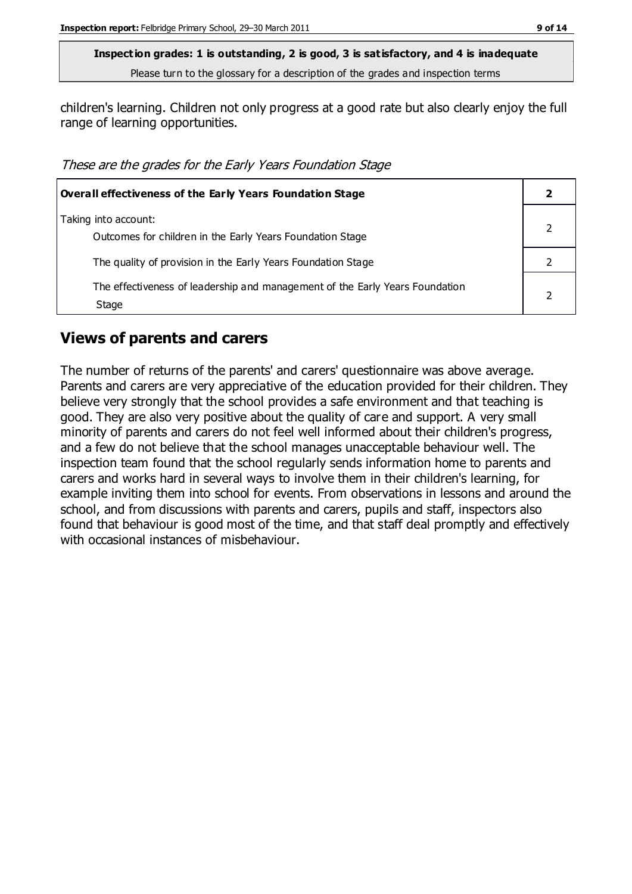children's learning. Children not only progress at a good rate but also clearly enjoy the full range of learning opportunities.

These are the grades for the Early Years Foundation Stage

| <b>Overall effectiveness of the Early Years Foundation Stage</b>                      |  |
|---------------------------------------------------------------------------------------|--|
| Taking into account:<br>Outcomes for children in the Early Years Foundation Stage     |  |
| The quality of provision in the Early Years Foundation Stage                          |  |
| The effectiveness of leadership and management of the Early Years Foundation<br>Stage |  |

#### **Views of parents and carers**

The number of returns of the parents' and carers' questionnaire was above average. Parents and carers are very appreciative of the education provided for their children. They believe very strongly that the school provides a safe environment and that teaching is good. They are also very positive about the quality of care and support. A very small minority of parents and carers do not feel well informed about their children's progress, and a few do not believe that the school manages unacceptable behaviour well. The inspection team found that the school regularly sends information home to parents and carers and works hard in several ways to involve them in their children's learning, for example inviting them into school for events. From observations in lessons and around the school, and from discussions with parents and carers, pupils and staff, inspectors also found that behaviour is good most of the time, and that staff deal promptly and effectively with occasional instances of misbehaviour.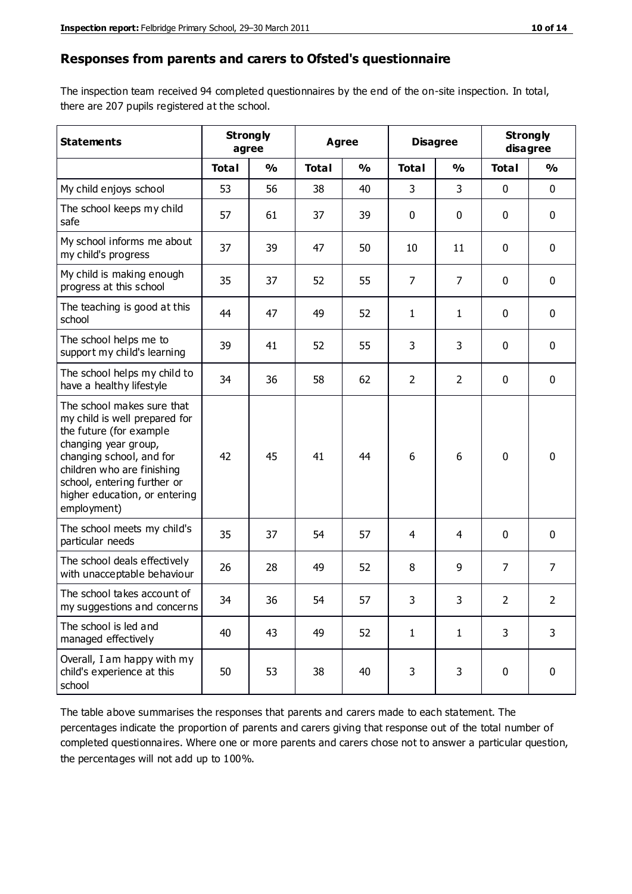#### **Responses from parents and carers to Ofsted's questionnaire**

The inspection team received 94 completed questionnaires by the end of the on-site inspection. In total, there are 207 pupils registered at the school.

| <b>Statements</b>                                                                                                                                                                                                                                       |              | <b>Strongly</b><br><b>Disagree</b><br><b>Agree</b><br>agree |              |               |                |                | <b>Strongly</b><br>disagree |                |
|---------------------------------------------------------------------------------------------------------------------------------------------------------------------------------------------------------------------------------------------------------|--------------|-------------------------------------------------------------|--------------|---------------|----------------|----------------|-----------------------------|----------------|
|                                                                                                                                                                                                                                                         | <b>Total</b> | $\frac{0}{0}$                                               | <b>Total</b> | $\frac{0}{0}$ | <b>Total</b>   | $\frac{0}{0}$  | <b>Total</b>                | $\frac{1}{2}$  |
| My child enjoys school                                                                                                                                                                                                                                  | 53           | 56                                                          | 38           | 40            | 3              | 3              | $\mathbf 0$                 | $\mathbf 0$    |
| The school keeps my child<br>safe                                                                                                                                                                                                                       | 57           | 61                                                          | 37           | 39            | 0              | 0              | $\mathbf 0$                 | $\mathbf 0$    |
| My school informs me about<br>my child's progress                                                                                                                                                                                                       | 37           | 39                                                          | 47           | 50            | 10             | 11             | $\mathbf 0$                 | $\mathbf 0$    |
| My child is making enough<br>progress at this school                                                                                                                                                                                                    | 35           | 37                                                          | 52           | 55            | $\overline{7}$ | $\overline{7}$ | $\mathbf 0$                 | $\mathbf 0$    |
| The teaching is good at this<br>school                                                                                                                                                                                                                  | 44           | 47                                                          | 49           | 52            | $\mathbf{1}$   | $\mathbf{1}$   | $\mathbf 0$                 | $\mathbf 0$    |
| The school helps me to<br>support my child's learning                                                                                                                                                                                                   | 39           | 41                                                          | 52           | 55            | 3              | 3              | $\mathbf 0$                 | $\mathbf 0$    |
| The school helps my child to<br>have a healthy lifestyle                                                                                                                                                                                                | 34           | 36                                                          | 58           | 62            | $\overline{2}$ | $\overline{2}$ | $\mathbf 0$                 | $\mathbf 0$    |
| The school makes sure that<br>my child is well prepared for<br>the future (for example<br>changing year group,<br>changing school, and for<br>children who are finishing<br>school, entering further or<br>higher education, or entering<br>employment) | 42           | 45                                                          | 41           | 44            | 6              | 6              | $\mathbf 0$                 | $\mathbf 0$    |
| The school meets my child's<br>particular needs                                                                                                                                                                                                         | 35           | 37                                                          | 54           | 57            | 4              | 4              | $\mathbf 0$                 | $\mathbf 0$    |
| The school deals effectively<br>with unacceptable behaviour                                                                                                                                                                                             | 26           | 28                                                          | 49           | 52            | 8              | 9              | 7                           | $\overline{7}$ |
| The school takes account of<br>my suggestions and concerns                                                                                                                                                                                              | 34           | 36                                                          | 54           | 57            | 3              | 3              | $\overline{2}$              | 2              |
| The school is led and<br>managed effectively                                                                                                                                                                                                            | 40           | 43                                                          | 49           | 52            | $\mathbf{1}$   | $\mathbf{1}$   | 3                           | 3              |
| Overall, I am happy with my<br>child's experience at this<br>school                                                                                                                                                                                     | 50           | 53                                                          | 38           | 40            | 3              | 3              | $\mathbf 0$                 | $\mathbf 0$    |

The table above summarises the responses that parents and carers made to each statement. The percentages indicate the proportion of parents and carers giving that response out of the total number of completed questionnaires. Where one or more parents and carers chose not to answer a particular question, the percentages will not add up to 100%.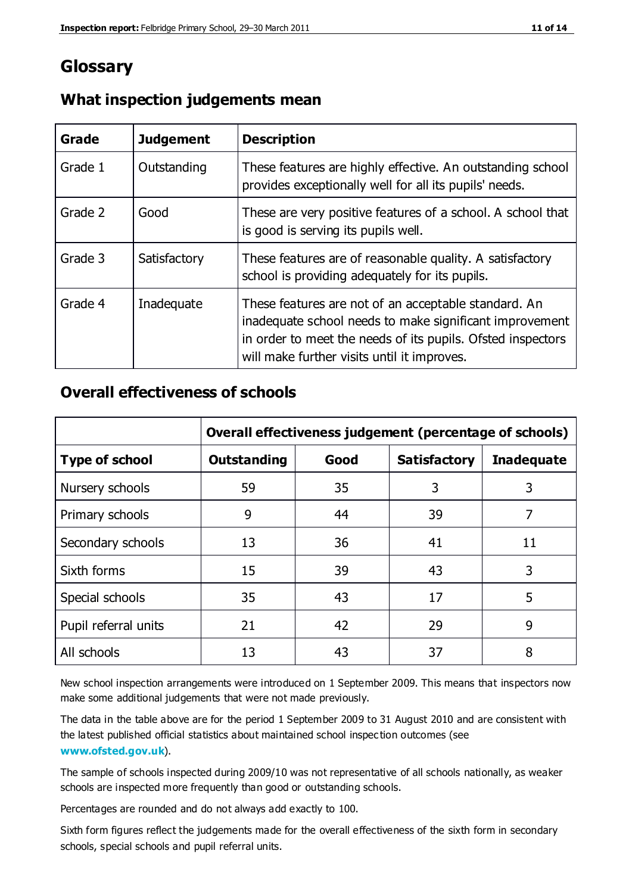# **Glossary**

| Grade   | <b>Judgement</b> | <b>Description</b>                                                                                                                                                                                                            |
|---------|------------------|-------------------------------------------------------------------------------------------------------------------------------------------------------------------------------------------------------------------------------|
| Grade 1 | Outstanding      | These features are highly effective. An outstanding school<br>provides exceptionally well for all its pupils' needs.                                                                                                          |
| Grade 2 | Good             | These are very positive features of a school. A school that<br>is good is serving its pupils well.                                                                                                                            |
| Grade 3 | Satisfactory     | These features are of reasonable quality. A satisfactory<br>school is providing adequately for its pupils.                                                                                                                    |
| Grade 4 | Inadequate       | These features are not of an acceptable standard. An<br>inadequate school needs to make significant improvement<br>in order to meet the needs of its pupils. Ofsted inspectors<br>will make further visits until it improves. |

#### **What inspection judgements mean**

#### **Overall effectiveness of schools**

|                       | Overall effectiveness judgement (percentage of schools) |      |                     |                   |
|-----------------------|---------------------------------------------------------|------|---------------------|-------------------|
| <b>Type of school</b> | <b>Outstanding</b>                                      | Good | <b>Satisfactory</b> | <b>Inadequate</b> |
| Nursery schools       | 59                                                      | 35   | 3                   | 3                 |
| Primary schools       | 9                                                       | 44   | 39                  | 7                 |
| Secondary schools     | 13                                                      | 36   | 41                  | 11                |
| Sixth forms           | 15                                                      | 39   | 43                  | 3                 |
| Special schools       | 35                                                      | 43   | 17                  | 5                 |
| Pupil referral units  | 21                                                      | 42   | 29                  | 9                 |
| All schools           | 13                                                      | 43   | 37                  | 8                 |

New school inspection arrangements were introduced on 1 September 2009. This means that inspectors now make some additional judgements that were not made previously.

The data in the table above are for the period 1 September 2009 to 31 August 2010 and are consistent with the latest published official statistics about maintained school inspec tion outcomes (see **[www.ofsted.gov.uk](http://www.ofsted.gov.uk/)**).

The sample of schools inspected during 2009/10 was not representative of all schools nationally, as weaker schools are inspected more frequently than good or outstanding schools.

Percentages are rounded and do not always add exactly to 100.

Sixth form figures reflect the judgements made for the overall effectiveness of the sixth form in secondary schools, special schools and pupil referral units.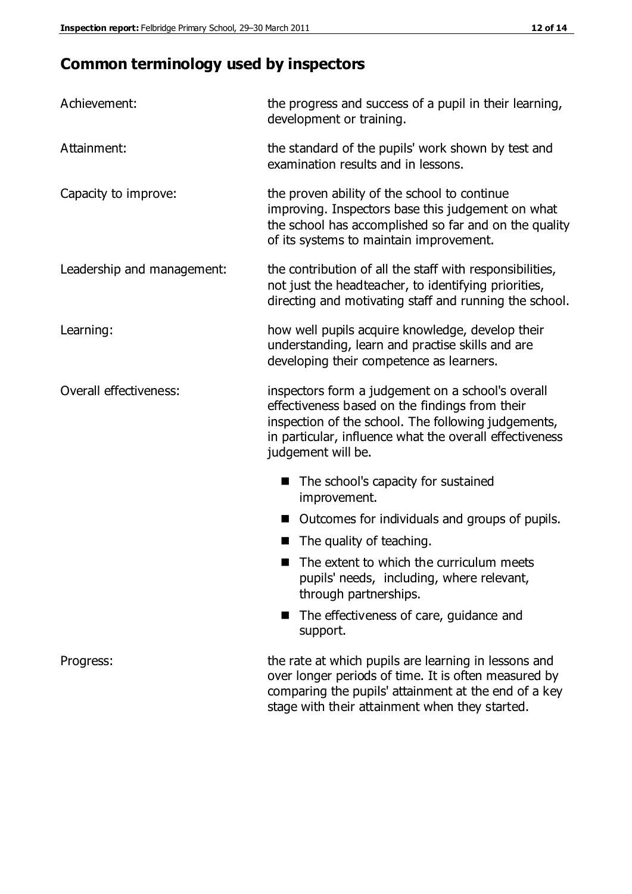# **Common terminology used by inspectors**

| Achievement:               | the progress and success of a pupil in their learning,<br>development or training.                                                                                                                                                          |  |  |
|----------------------------|---------------------------------------------------------------------------------------------------------------------------------------------------------------------------------------------------------------------------------------------|--|--|
| Attainment:                | the standard of the pupils' work shown by test and<br>examination results and in lessons.                                                                                                                                                   |  |  |
| Capacity to improve:       | the proven ability of the school to continue<br>improving. Inspectors base this judgement on what<br>the school has accomplished so far and on the quality<br>of its systems to maintain improvement.                                       |  |  |
| Leadership and management: | the contribution of all the staff with responsibilities,<br>not just the headteacher, to identifying priorities,<br>directing and motivating staff and running the school.                                                                  |  |  |
| Learning:                  | how well pupils acquire knowledge, develop their<br>understanding, learn and practise skills and are<br>developing their competence as learners.                                                                                            |  |  |
| Overall effectiveness:     | inspectors form a judgement on a school's overall<br>effectiveness based on the findings from their<br>inspection of the school. The following judgements,<br>in particular, influence what the overall effectiveness<br>judgement will be. |  |  |
|                            | The school's capacity for sustained<br>improvement.                                                                                                                                                                                         |  |  |
|                            | Outcomes for individuals and groups of pupils.                                                                                                                                                                                              |  |  |
|                            | The quality of teaching.                                                                                                                                                                                                                    |  |  |
|                            | The extent to which the curriculum meets<br>pupils' needs, including, where relevant,<br>through partnerships.                                                                                                                              |  |  |
|                            | The effectiveness of care, guidance and<br>support.                                                                                                                                                                                         |  |  |
| Progress:                  | the rate at which pupils are learning in lessons and<br>over longer periods of time. It is often measured by<br>comparing the pupils' attainment at the end of a key                                                                        |  |  |

stage with their attainment when they started.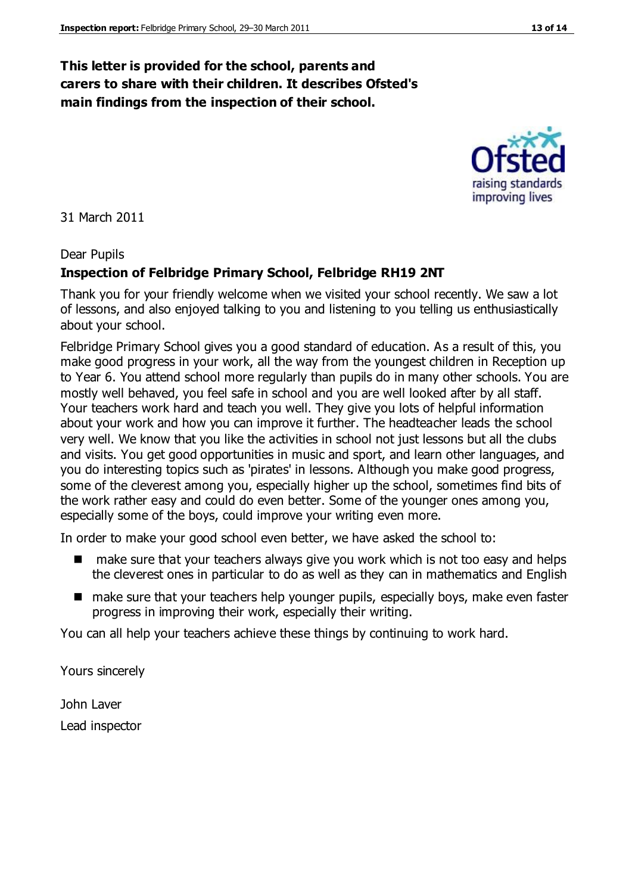#### **This letter is provided for the school, parents and carers to share with their children. It describes Ofsted's main findings from the inspection of their school.**

31 March 2011

#### Dear Pupils

#### **Inspection of Felbridge Primary School, Felbridge RH19 2NT**

Thank you for your friendly welcome when we visited your school recently. We saw a lot of lessons, and also enjoyed talking to you and listening to you telling us enthusiastically about your school.

Felbridge Primary School gives you a good standard of education. As a result of this, you make good progress in your work, all the way from the youngest children in Reception up to Year 6. You attend school more regularly than pupils do in many other schools. You are mostly well behaved, you feel safe in school and you are well looked after by all staff. Your teachers work hard and teach you well. They give you lots of helpful information about your work and how you can improve it further. The headteacher leads the school very well. We know that you like the activities in school not just lessons but all the clubs and visits. You get good opportunities in music and sport, and learn other languages, and you do interesting topics such as 'pirates' in lessons. Although you make good progress, some of the cleverest among you, especially higher up the school, sometimes find bits of the work rather easy and could do even better. Some of the younger ones among you, especially some of the boys, could improve your writing even more.

In order to make your good school even better, we have asked the school to:

- make sure that your teachers always give you work which is not too easy and helps the cleverest ones in particular to do as well as they can in mathematics and English
- make sure that your teachers help younger pupils, especially boys, make even faster progress in improving their work, especially their writing.

You can all help your teachers achieve these things by continuing to work hard.

Yours sincerely

John Laver Lead inspector